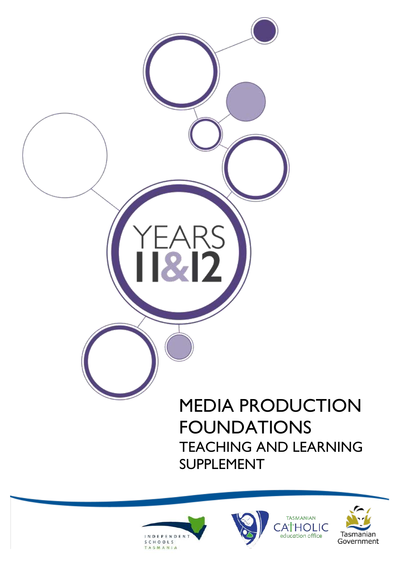



**TASMANIAN** ATHOLIC education office



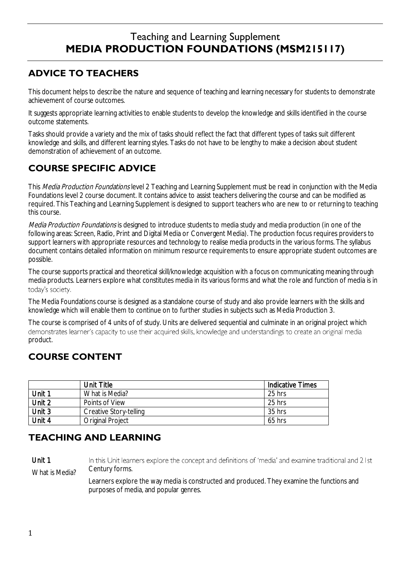# Teaching and Learning Supplement **MEDIA PRODUCTION FOUNDATIONS (MSM215117)**

### **ADVICE TO TEACHERS**

This document helps to describe the nature and sequence of teaching and learning necessary for students to demonstrate achievement of course outcomes.

It suggests appropriate learning activities to enable students to develop the knowledge and skills identified in the course outcome statements.

Tasks should provide a variety and the mix of tasks should reflect the fact that different types of tasks suit different knowledge and skills, and different learning styles. Tasks do not have to be lengthy to make a decision about student demonstration of achievement of an outcome.

## **COURSE SPECIFIC ADVICE**

This Media Production Foundations level 2 Teaching and Learning Supplement must be read in conjunction with the Media Foundations level 2 course document. It contains advice to assist teachers delivering the course and can be modified as required. This Teaching and Learning Supplement is designed to support teachers who are new to or returning to teaching this course.

Media Production Foundations is designed to introduce students to media study and media production (in one of the following areas: Screen, Radio, Print and Digital Media or Convergent Media). The production focus requires providers to support learners with appropriate resources and technology to realise media products in the various forms. The syllabus document contains detailed information on minimum resource requirements to ensure appropriate student outcomes are possible.

The course supports practical and theoretical skill/knowledge acquisition with a focus on communicating meaning through media products. Learners explore what constitutes media in its various forms and what the role and function of media is in

The Media Foundations course is designed as a standalone course of study and also provide learners with the skills and knowledge which will enable them to continue on to further studies in subjects such as Media Production 3.

The course is comprised of 4 units of of study. Units are delivered sequential and culminate in an original project which<br>demonstrates learner's capacity to use their acquired skills, knowledge and understandings to create product.

## **COURSE CONTENT**

|        | Unit Title              | Indicative Times |
|--------|-------------------------|------------------|
| Jnit 1 | What is Media?          | 25 hrs           |
| Unit 2 | Points of View          | 25 hrs           |
| Unit 3 | Creative Story-telling  | 35 hrs           |
| Unit 4 | <b>Original Project</b> | $65$ hrs         |

### **TEACHING AND LEARNING**

Unit 1 In this Unit learners explore the concept and definitions of 'media' and examine traditional and 21st What is Media? Century forms.

> Learners explore the way media is constructed and produced. They examine the functions and purposes of media, and popular genres.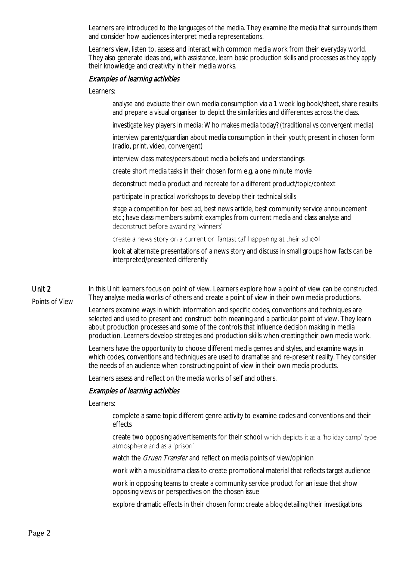Learners are introduced to the languages of the media. They examine the media that surrounds them and consider how audiences interpret media representations.

Learners view, listen to, assess and interact with common media work from their everyday world. They also generate ideas and, with assistance, learn basic production skills and processes as they apply their knowledge and creativity in their media works.

#### Examples of learning activities

Learners:

analyse and evaluate their own media consumption via a 1 week log book/sheet, share results and prepare a visual organiser to depict the similarities and differences across the class.

investigate key players in media: Who makes media today? (traditional vs convergent media)

interview parents/guardian about media consumption in their youth; present in chosen form (radio, print, video, convergent)

interview class mates/peers about media beliefs and understandings

create short media tasks in their chosen form e.g. a one minute movie

deconstruct media product and recreate for a different product/topic/context

participate in practical workshops to develop their technical skills

stage a competition for best ad, best news article, best community service announcement etc.; have class members submit examples from current media and class analyse and deconstruct before awarding 'winners'

create a news story on a current or 'fantastical' happening at their school

look at alternate presentations of a news story and discuss in small groups how facts can be interpreted/presented differently

### Unit 2

Points of View

In this Unit learners focus on point of view. Learners explore how a point of view can be constructed. They analyse media works of others and create a point of view in their own media productions.

Learners examine ways in which information and specific codes, conventions and techniques are selected and used to present and construct both meaning and a particular point of view. They learn about production processes and some of the controls that influence decision making in media production. Learners develop strategies and production skills when creating their own media work.

Learners have the opportunity to choose different media genres and styles, and examine ways in which codes, conventions and techniques are used to dramatise and re-present reality. They consider the needs of an audience when constructing point of view in their own media products.

Learners assess and reflect on the media works of self and others.

#### Examples of learning activities

Learners:

complete a same topic different genre activity to examine codes and conventions and their effects

create two opposing advertisements for their school which depicts it as a 'holiday camp' type atmosphere and as a 'prison'

watch the *Gruen Transfer* and reflect on media points of view/opinion

work with a music/drama class to create promotional material that reflects target audience

work in opposing teams to create a community service product for an issue that show opposing views or perspectives on the chosen issue

explore dramatic effects in their chosen form; create a blog detailing their investigations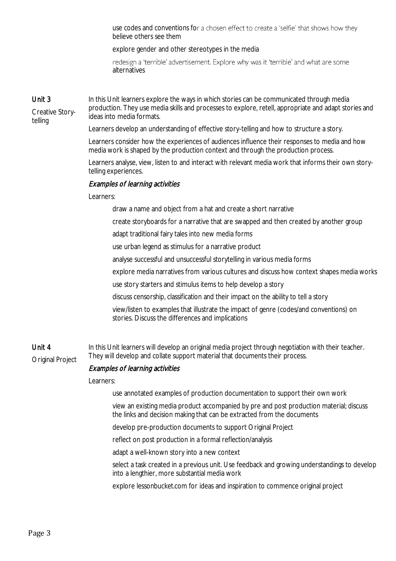use codes and conventions for a chosen effect to create a 'selfie' that shows how they believe others see them

explore gender and other stereotypes in the media

redesign a 'terrible' advertisement. Explore why was it 'terrible' and what are some alternatives

### Unit 3

Creative Storytelling

In this Unit learners explore the ways in which stories can be communicated through media production. They use media skills and processes to explore, retell, appropriate and adapt stories and ideas into media formats.

Learners develop an understanding of effective story-telling and how to structure a story.

Learners consider how the experiences of audiences influence their responses to media and how media work is shaped by the production context and through the production process.

Learners analyse, view, listen to and interact with relevant media work that informs their own storytelling experiences.

### Examples of learning activities

#### Learners:

draw a name and object from a hat and create a short narrative

create storyboards for a narrative that are swapped and then created by another group

adapt traditional fairy tales into new media forms

use urban legend as stimulus for a narrative product

analyse successful and unsuccessful storytelling in various media forms

explore media narratives from various cultures and discuss how context shapes media works

use story starters and stimulus items to help develop a story

discuss censorship, classification and their impact on the ability to tell a story

view/listen to examples that illustrate the impact of genre (codes/and conventions) on stories. Discuss the differences and implications

Unit 4 Original Project In this Unit learners will develop an original media project through negotiation with their teacher. They will develop and collate support material that documents their process.

#### Examples of learning activities

#### Learners:

use annotated examples of production documentation to support their own work

view an existing media product accompanied by pre and post production material; discuss the links and decision making that can be extracted from the documents

develop pre-production documents to support Original Project

reflect on post production in a formal reflection/analysis

adapt a well-known story into a new context

select a task created in a previous unit. Use feedback and growing understandings to develop into a lengthier, more substantial media work

explore lessonbucket.com for ideas and inspiration to commence original project